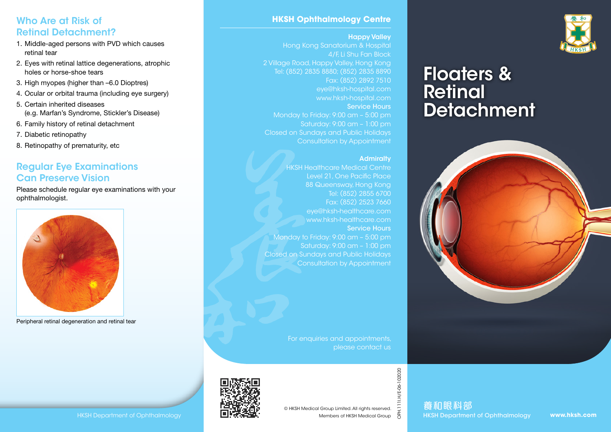## Who Are at Risk of Retinal Detachment?

- 1. Middle-aged persons with PVD which causes retinal tear
- 2. Eyes with retinal lattice degenerations, atrophic holes or horse-shoe tears
- 3. High myopes (higher than –6.0 Dioptres)
- 4. Ocular or orbital trauma (including eye surgery)
- 5. Certain inherited diseases (e.g. Marfan's Syndrome, Stickler's Disease)
- 6. Family history of retinal detachment
- 7. Diabetic retinopathy
- 8. Retinopathy of prematurity, etc

# Regular Eye Examinations Can Preserve Vision

Please schedule regular eye examinations with your ophthalmologist.



Peripheral retinal degeneration and retinal tear

### **HKSH Ophthalmology Centre**

#### Happy Valley

Hong Kong Sanatorium & Hospital 4/F, Li Shu Fan Block 2 Village Road, Happy Valley, Hong Kong Tel: (852) 2835 8880; (852) 2835 8890 Fax: (852) 2892 7510 eye@hksh-hospital.com www.hksh-hospital.com Service Hours Monday to Friday: 9:00 am – 5:00 pm Saturday: 9:00 am – 1:00 pm Closed on Sundays and Public Holidays Consultation by Appointment

### **Admiralty**

HKSH Healthcare Medical Centre Level 21, One Pacific Place 88 Queensway, Hong Kong Tel: (852) 2855 6700 Fax: (852) 2523 7660 eye@hksh-healthcare.com www.hksh-healthcare.com Service Hours Monday to Friday: 9:00 am – 5:00 pm Saturday: 9:00 am – 1:00 pm Closed on Sundays and Public Holidays Consultation by Appointment

> For enquiries and appointments, please contact us



OPH.111I.H/E-06-102020

1.1111.H/E-06-102020

養和眼科部



# Floaters & **Retinal Detachment**